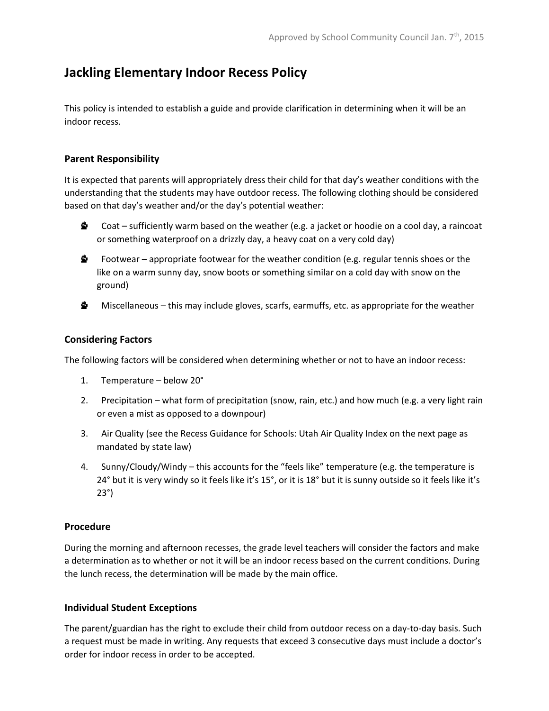### **Jackling Elementary Indoor Recess Policy**

This policy is intended to establish a guide and provide clarification in determining when it will be an indoor recess.

#### **Parent Responsibility**

It is expected that parents will appropriately dress their child for that day's weather conditions with the understanding that the students may have outdoor recess. The following clothing should be considered based on that day's weather and/or the day's potential weather:

- Š. Coat – sufficiently warm based on the weather (e.g. a jacket or hoodie on a cool day, a raincoat or something waterproof on a drizzly day, a heavy coat on a very cold day)
- **△** Footwear appropriate footwear for the weather condition (e.g. regular tennis shoes or the like on a warm sunny day, snow boots or something similar on a cold day with snow on the ground)
- s. Miscellaneous – this may include gloves, scarfs, earmuffs, etc. as appropriate for the weather

#### **Considering Factors**

The following factors will be considered when determining whether or not to have an indoor recess:

- 1. Temperature below 20°
- 2. Precipitation what form of precipitation (snow, rain, etc.) and how much (e.g. a very light rain or even a mist as opposed to a downpour)
- 3. Air Quality (see the Recess Guidance for Schools: Utah Air Quality Index on the next page as mandated by state law)
- 4. Sunny/Cloudy/Windy this accounts for the "feels like" temperature (e.g. the temperature is 24° but it is very windy so it feels like it's 15°, or it is 18° but it is sunny outside so it feels like it's 23°)

#### **Procedure**

During the morning and afternoon recesses, the grade level teachers will consider the factors and make a determination as to whether or not it will be an indoor recess based on the current conditions. During the lunch recess, the determination will be made by the main office.

#### **Individual Student Exceptions**

The parent/guardian has the right to exclude their child from outdoor recess on a day-to-day basis. Such a request must be made in writing. Any requests that exceed 3 consecutive days must include a doctor's order for indoor recess in order to be accepted.